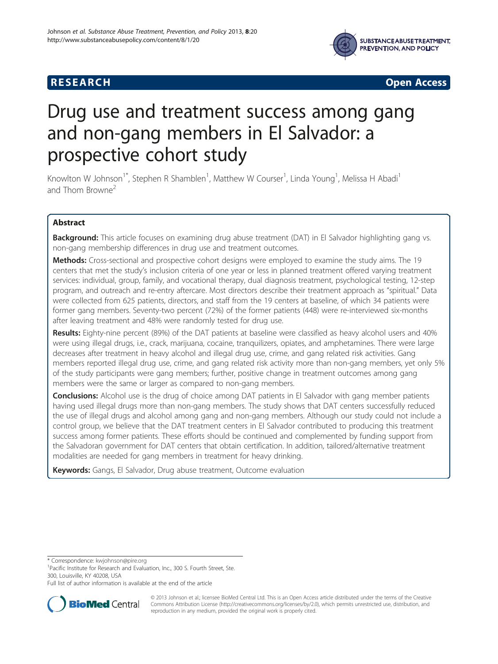



# Drug use and treatment success among gang and non-gang members in El Salvador: a prospective cohort study

Knowlton W Johnson<sup>1\*</sup>, Stephen R Shamblen<sup>1</sup>, Matthew W Courser<sup>1</sup>, Linda Young<sup>1</sup>, Melissa H Abadi<sup>1</sup> and Thom Browne<sup>2</sup>

# Abstract

**Background:** This article focuses on examining drug abuse treatment (DAT) in El Salvador highlighting gang vs. non-gang membership differences in drug use and treatment outcomes.

Methods: Cross-sectional and prospective cohort designs were employed to examine the study aims. The 19 centers that met the study's inclusion criteria of one year or less in planned treatment offered varying treatment services: individual, group, family, and vocational therapy, dual diagnosis treatment, psychological testing, 12-step program, and outreach and re-entry aftercare. Most directors describe their treatment approach as "spiritual." Data were collected from 625 patients, directors, and staff from the 19 centers at baseline, of which 34 patients were former gang members. Seventy-two percent (72%) of the former patients (448) were re-interviewed six-months after leaving treatment and 48% were randomly tested for drug use.

Results: Eighty-nine percent (89%) of the DAT patients at baseline were classified as heavy alcohol users and 40% were using illegal drugs, i.e., crack, marijuana, cocaine, tranquilizers, opiates, and amphetamines. There were large decreases after treatment in heavy alcohol and illegal drug use, crime, and gang related risk activities. Gang members reported illegal drug use, crime, and gang related risk activity more than non-gang members, yet only 5% of the study participants were gang members; further, positive change in treatment outcomes among gang members were the same or larger as compared to non-gang members.

**Conclusions:** Alcohol use is the drug of choice among DAT patients in El Salvador with gang member patients having used illegal drugs more than non-gang members. The study shows that DAT centers successfully reduced the use of illegal drugs and alcohol among gang and non-gang members. Although our study could not include a control group, we believe that the DAT treatment centers in El Salvador contributed to producing this treatment success among former patients. These efforts should be continued and complemented by funding support from the Salvadoran government for DAT centers that obtain certification. In addition, tailored/alternative treatment modalities are needed for gang members in treatment for heavy drinking.

Keywords: Gangs, El Salvador, Drug abuse treatment, Outcome evaluation

\* Correspondence: [kwjohnson@pire.org](mailto:kwjohnson@pire.org) <sup>1</sup>

<sup>1</sup> Pacific Institute for Research and Evaluation, Inc., 300 S. Fourth Street, Ste. 300, Louisville, KY 40208, USA

Full list of author information is available at the end of the article



© 2013 Johnson et al.; licensee BioMed Central Ltd. This is an Open Access article distributed under the terms of the Creative Commons Attribution License [\(http://creativecommons.org/licenses/by/2.0\)](http://creativecommons.org/licenses/by/2.0), which permits unrestricted use, distribution, and reproduction in any medium, provided the original work is properly cited.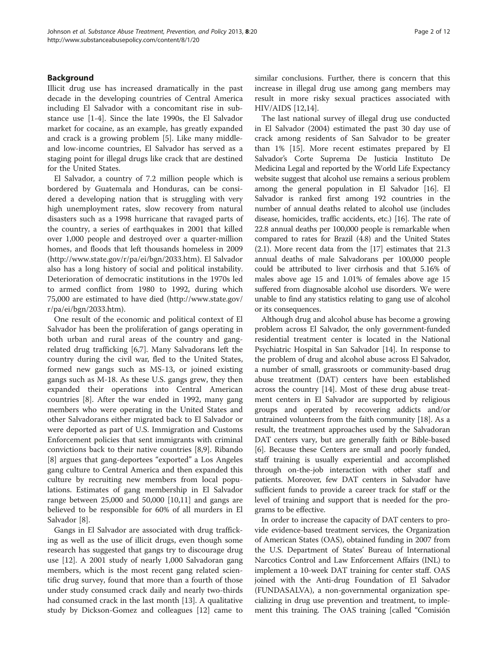# Background

Illicit drug use has increased dramatically in the past decade in the developing countries of Central America including El Salvador with a concomitant rise in substance use [\[1](#page-10-0)-[4\]](#page-10-0). Since the late 1990s, the El Salvador market for cocaine, as an example, has greatly expanded and crack is a growing problem [\[5](#page-10-0)]. Like many middleand low-income countries, El Salvador has served as a staging point for illegal drugs like crack that are destined for the United States.

El Salvador, a country of 7.2 million people which is bordered by Guatemala and Honduras, can be considered a developing nation that is struggling with very high unemployment rates, slow recovery from natural disasters such as a 1998 hurricane that ravaged parts of the country, a series of earthquakes in 2001 that killed over 1,000 people and destroyed over a quarter-million homes, and floods that left thousands homeless in 2009 ([http://www.state.gov/r/pa/ei/bgn/2033.htm\)](http://www.state.gov/r/pa/ei/bgn/2033.htm). El Salvador also has a long history of social and political instability. Deterioration of democratic institutions in the 1970s led to armed conflict from 1980 to 1992, during which 75,000 are estimated to have died ([http://www.state.gov/](http://www.state.gov/r/pa/ei/bgn/2033.htm) [r/pa/ei/bgn/2033.htm\)](http://www.state.gov/r/pa/ei/bgn/2033.htm).

One result of the economic and political context of El Salvador has been the proliferation of gangs operating in both urban and rural areas of the country and gangrelated drug trafficking [[6,7\]](#page-10-0). Many Salvadorans left the country during the civil war, fled to the United States, formed new gangs such as MS-13, or joined existing gangs such as M-18. As these U.S. gangs grew, they then expanded their operations into Central American countries [[8\]](#page-10-0). After the war ended in 1992, many gang members who were operating in the United States and other Salvadorans either migrated back to El Salvador or were deported as part of U.S. Immigration and Customs Enforcement policies that sent immigrants with criminal convictions back to their native countries [[8,9\]](#page-10-0). Ribando [[8\]](#page-10-0) argues that gang-deportees "exported" a Los Angeles gang culture to Central America and then expanded this culture by recruiting new members from local populations. Estimates of gang membership in El Salvador range between 25,000 and 50,000 [[10](#page-10-0),[11](#page-10-0)] and gangs are believed to be responsible for 60% of all murders in El Salvador [[8\]](#page-10-0).

Gangs in El Salvador are associated with drug trafficking as well as the use of illicit drugs, even though some research has suggested that gangs try to discourage drug use [\[12](#page-10-0)]. A 2001 study of nearly 1,000 Salvadoran gang members, which is the most recent gang related scientific drug survey, found that more than a fourth of those under study consumed crack daily and nearly two-thirds had consumed crack in the last month [[13](#page-10-0)]. A qualitative study by Dickson-Gomez and colleagues [\[12](#page-10-0)] came to similar conclusions. Further, there is concern that this increase in illegal drug use among gang members may result in more risky sexual practices associated with HIV/AIDS [\[12,14](#page-10-0)].

The last national survey of illegal drug use conducted in El Salvador (2004) estimated the past 30 day use of crack among residents of San Salvador to be greater than 1% [\[15](#page-10-0)]. More recent estimates prepared by El Salvador's Corte Suprema De Justicia Instituto De Medicina Legal and reported by the World Life Expectancy website suggest that alcohol use remains a serious problem among the general population in El Salvador [\[16\]](#page-10-0). El Salvador is ranked first among 192 countries in the number of annual deaths related to alcohol use (includes disease, homicides, traffic accidents, etc.) [\[16\]](#page-10-0). The rate of 22.8 annual deaths per 100,000 people is remarkable when compared to rates for Brazil (4.8) and the United States (2.1). More recent data from the [[17](#page-10-0)] estimates that 21.3 annual deaths of male Salvadorans per 100,000 people could be attributed to liver cirrhosis and that 5.16% of males above age 15 and 1.01% of females above age 15 suffered from diagnosable alcohol use disorders. We were unable to find any statistics relating to gang use of alcohol or its consequences.

Although drug and alcohol abuse has become a growing problem across El Salvador, the only government-funded residential treatment center is located in the National Psychiatric Hospital in San Salvador [\[14](#page-10-0)]. In response to the problem of drug and alcohol abuse across El Salvador, a number of small, grassroots or community-based drug abuse treatment (DAT) centers have been established across the country [[14\]](#page-10-0). Most of these drug abuse treatment centers in El Salvador are supported by religious groups and operated by recovering addicts and/or untrained volunteers from the faith community [[18](#page-10-0)]. As a result, the treatment approaches used by the Salvadoran DAT centers vary, but are generally faith or Bible-based [[6\]](#page-10-0). Because these Centers are small and poorly funded, staff training is usually experiential and accomplished through on-the-job interaction with other staff and patients. Moreover, few DAT centers in Salvador have sufficient funds to provide a career track for staff or the level of training and support that is needed for the programs to be effective.

In order to increase the capacity of DAT centers to provide evidence-based treatment services, the Organization of American States (OAS), obtained funding in 2007 from the U.S. Department of States' Bureau of International Narcotics Control and Law Enforcement Affairs (INL) to implement a 10-week DAT training for center staff. OAS joined with the Anti-drug Foundation of El Salvador (FUNDASALVA), a non-governmental organization specializing in drug use prevention and treatment, to implement this training. The OAS training [called "Comisión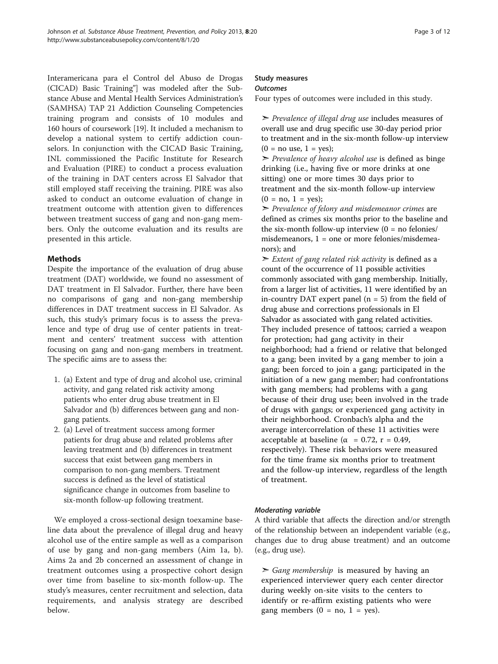Interamericana para el Control del Abuso de Drogas (CICAD) Basic Training"] was modeled after the Substance Abuse and Mental Health Services Administration's (SAMHSA) TAP 21 Addiction Counseling Competencies training program and consists of 10 modules and 160 hours of coursework [\[19](#page-10-0)]. It included a mechanism to develop a national system to certify addiction counselors. In conjunction with the CICAD Basic Training, INL commissioned the Pacific Institute for Research and Evaluation (PIRE) to conduct a process evaluation of the training in DAT centers across El Salvador that still employed staff receiving the training. PIRE was also asked to conduct an outcome evaluation of change in treatment outcome with attention given to differences between treatment success of gang and non-gang members. Only the outcome evaluation and its results are presented in this article.

# Methods

Despite the importance of the evaluation of drug abuse treatment (DAT) worldwide, we found no assessment of DAT treatment in El Salvador. Further, there have been no comparisons of gang and non-gang membership differences in DAT treatment success in El Salvador. As such, this study's primary focus is to assess the prevalence and type of drug use of center patients in treatment and centers' treatment success with attention focusing on gang and non-gang members in treatment. The specific aims are to assess the:

- 1. (a) Extent and type of drug and alcohol use, criminal activity, and gang related risk activity among patients who enter drug abuse treatment in El Salvador and (b) differences between gang and nongang patients.
- 2. (a) Level of treatment success among former patients for drug abuse and related problems after leaving treatment and (b) differences in treatment success that exist between gang members in comparison to non-gang members. Treatment success is defined as the level of statistical significance change in outcomes from baseline to six-month follow-up following treatment.

We employed a cross-sectional design toexamine baseline data about the prevalence of illegal drug and heavy alcohol use of the entire sample as well as a comparison of use by gang and non-gang members (Aim 1a, b). Aims 2a and 2b concerned an assessment of change in treatment outcomes using a prospective cohort design over time from baseline to six-month follow-up. The study's measures, center recruitment and selection, data requirements, and analysis strategy are described below.

# Study measures

# **Outcomes**

Four types of outcomes were included in this study.

➣ Prevalence of illegal drug use includes measures of overall use and drug specific use 30-day period prior to treatment and in the six-month follow-up interview  $(0 = no$  use,  $1 = yes)$ ;

 $\triangleright$  Prevalence of heavy alcohol use is defined as binge drinking (i.e., having five or more drinks at one sitting) one or more times 30 days prior to treatment and the six-month follow-up interview  $(0 = no, 1 = yes);$ 

 $\triangleright$  Prevalence of felony and misdemeanor crimes are defined as crimes six months prior to the baseline and the six-month follow-up interview  $(0 = no$  felonies/ misdemeanors, 1 = one or more felonies/misdemeanors); and

 $\triangleright$  Extent of gang related risk activity is defined as a count of the occurrence of 11 possible activities commonly associated with gang membership. Initially, from a larger list of activities, 11 were identified by an in-country DAT expert panel  $(n = 5)$  from the field of drug abuse and corrections professionals in El Salvador as associated with gang related activities. They included presence of tattoos; carried a weapon for protection; had gang activity in their neighborhood; had a friend or relative that belonged to a gang; been invited by a gang member to join a gang; been forced to join a gang; participated in the initiation of a new gang member; had confrontations with gang members; had problems with a gang because of their drug use; been involved in the trade of drugs with gangs; or experienced gang activity in their neighborhood. Cronbach's alpha and the average intercorrelation of these 11 activities were acceptable at baseline ( $\alpha$  = 0.72, r = 0.49, respectively). These risk behaviors were measured for the time frame six months prior to treatment and the follow-up interview, regardless of the length of treatment.

# Moderating variable

A third variable that affects the direction and/or strength of the relationship between an independent variable (e.g., changes due to drug abuse treatment) and an outcome (e.g., drug use).

 $\triangleright$  Gang membership is measured by having an experienced interviewer query each center director during weekly on-site visits to the centers to identify or re-affirm existing patients who were gang members  $(0 = no, 1 = yes)$ .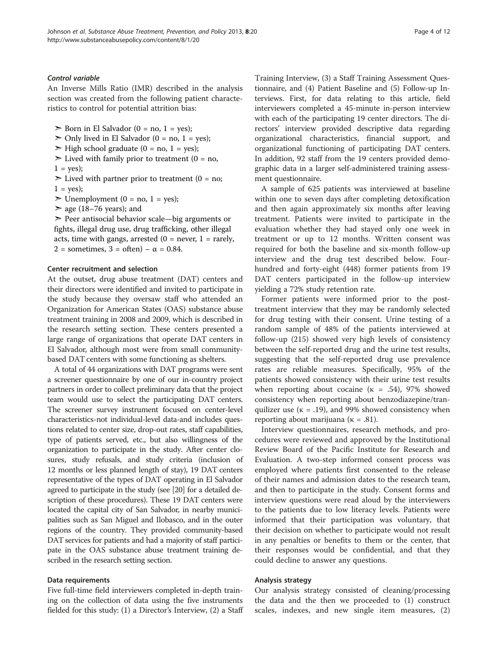## Control variable

An Inverse Mills Ratio (IMR) described in the analysis section was created from the following patient characteristics to control for potential attrition bias:

 $\triangleright$  Born in El Salvador (0 = no, 1 = yes);

- $\geq$  Only lived in El Salvador (0 = no, 1 = yes);
- $\triangleright$  High school graduate (0 = no, 1 = yes);
- $\geq$  Lived with family prior to treatment (0 = no,
- $1 = yes$ ;
- $\geq$  Lived with partner prior to treatment (0 = no;  $1 = yes$ ;
- $\geq$  Unemployment (0 = no, 1 = yes);
- $\ge$  age (18–76 years); and

➣ Peer antisocial behavior scale—big arguments or fights, illegal drug use, drug trafficking, other illegal acts, time with gangs, arrested  $(0 =$  never,  $1 =$  rarely, 2 = sometimes, 3 = often) –  $\alpha$  = 0.84.

#### Center recruitment and selection

At the outset, drug abuse treatment (DAT) centers and their directors were identified and invited to participate in the study because they oversaw staff who attended an Organization for American States (OAS) substance abuse treatment training in 2008 and 2009, which is described in the research setting section. These centers presented a large range of organizations that operate DAT centers in El Salvador, although most were from small communitybased DAT centers with some functioning as shelters.

A total of 44 organizations with DAT programs were sent a screener questionnaire by one of our in-country project partners in order to collect preliminary data that the project team would use to select the participating DAT centers. The screener survey instrument focused on center-level characteristics-not individual-level data-and includes questions related to center size, drop-out rates, staff capabilities, type of patients served, etc., but also willingness of the organization to participate in the study. After center closures, study refusals, and study criteria (inclusion of 12 months or less planned length of stay), 19 DAT centers representative of the types of DAT operating in El Salvador agreed to participate in the study (see [\[20](#page-11-0)] for a detailed description of these procedures). These 19 DAT centers were located the capital city of San Salvador, in nearby municipalities such as San Miguel and Ilobasco, and in the outer regions of the country. They provided community-based DAT services for patients and had a majority of staff participate in the OAS substance abuse treatment training described in the research setting section.

# Data requirements

Five full-time field interviewers completed in-depth training on the collection of data using the five instruments fielded for this study: (1) a Director's Interview, (2) a Staff Training Interview, (3) a Staff Training Assessment Questionnaire, and (4) Patient Baseline and (5) Follow-up Interviews. First, for data relating to this article, field interviewers completed a 45-minute in-person interview with each of the participating 19 center directors. The directors' interview provided descriptive data regarding organizational characteristics, financial support, and organizational functioning of participating DAT centers. In addition, 92 staff from the 19 centers provided demographic data in a larger self-administered training assessment questionnaire.

A sample of 625 patients was interviewed at baseline within one to seven days after completing detoxification and then again approximately six months after leaving treatment. Patients were invited to participate in the evaluation whether they had stayed only one week in treatment or up to 12 months. Written consent was required for both the baseline and six-month follow-up interview and the drug test described below. Fourhundred and forty-eight (448) former patients from 19 DAT centers participated in the follow-up interview yielding a 72% study retention rate.

Former patients were informed prior to the posttreatment interview that they may be randomly selected for drug testing with their consent. Urine testing of a random sample of 48% of the patients interviewed at follow-up (215) showed very high levels of consistency between the self-reported drug and the urine test results, suggesting that the self-reported drug use prevalence rates are reliable measures. Specifically, 95% of the patients showed consistency with their urine test results when reporting about cocaine ( $\kappa = .54$ ), 97% showed consistency when reporting about benzodiazepine/tranquilizer use ( $k = .19$ ), and 99% showed consistency when reporting about marijuana ( $\kappa = .81$ ).

Interview questionnaires, research methods, and procedures were reviewed and approved by the Institutional Review Board of the Pacific Institute for Research and Evaluation. A two-step informed consent process was employed where patients first consented to the release of their names and admission dates to the research team, and then to participate in the study. Consent forms and interview questions were read aloud by the interviewers to the patients due to low literacy levels. Patients were informed that their participation was voluntary, that their decision on whether to participate would not result in any penalties or benefits to them or the center, that their responses would be confidential, and that they could decline to answer any questions.

#### Analysis strategy

Our analysis strategy consisted of cleaning/processing the data and the then we proceeded to (1) construct scales, indexes, and new single item measures, (2)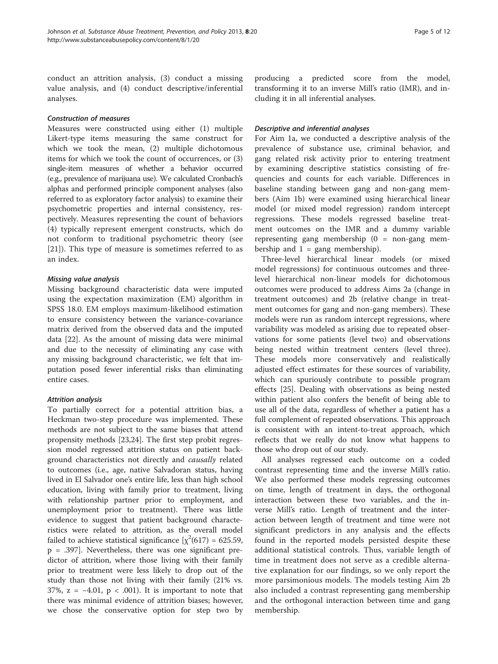conduct an attrition analysis, (3) conduct a missing value analysis, and (4) conduct descriptive/inferential analyses.

## Construction of measures

Measures were constructed using either (1) multiple Likert-type items measuring the same construct for which we took the mean, (2) multiple dichotomous items for which we took the count of occurrences, or (3) single-item measures of whether a behavior occurred (e.g., prevalence of marijuana use). We calculated Cronbach's alphas and performed principle component analyses (also referred to as exploratory factor analysis) to examine their psychometric properties and internal consistency, respectively. Measures representing the count of behaviors (4) typically represent emergent constructs, which do not conform to traditional psychometric theory (see [[21\]](#page-11-0)). This type of measure is sometimes referred to as an index.

## Missing value analysis

Missing background characteristic data were imputed using the expectation maximization (EM) algorithm in SPSS 18.0. EM employs maximum-likelihood estimation to ensure consistency between the variance-covariance matrix derived from the observed data and the imputed data [[22\]](#page-11-0). As the amount of missing data were minimal and due to the necessity of eliminating any case with any missing background characteristic, we felt that imputation posed fewer inferential risks than eliminating entire cases.

# Attrition analysis

To partially correct for a potential attrition bias, a Heckman two-step procedure was implemented. These methods are not subject to the same biases that attend propensity methods [[23](#page-11-0),[24](#page-11-0)]. The first step probit regression model regressed attrition status on patient background characteristics not directly and causally related to outcomes (i.e., age, native Salvadoran status, having lived in El Salvador one's entire life, less than high school education, living with family prior to treatment, living with relationship partner prior to employment, and unemployment prior to treatment). There was little evidence to suggest that patient background characteristics were related to attrition, as the overall model failed to achieve statistical significance  $[\chi^2(617) = 625.59,$ p = .397]. Nevertheless, there was one significant predictor of attrition, where those living with their family prior to treatment were less likely to drop out of the study than those not living with their family (21% vs. 37%,  $z = -4.01$ ,  $p < .001$ ). It is important to note that there was minimal evidence of attrition biases; however, we chose the conservative option for step two by producing a predicted score from the model, transforming it to an inverse Mill's ratio (IMR), and including it in all inferential analyses.

# Descriptive and inferential analyses

For Aim 1a, we conducted a descriptive analysis of the prevalence of substance use, criminal behavior, and gang related risk activity prior to entering treatment by examining descriptive statistics consisting of frequencies and counts for each variable. Differences in baseline standing between gang and non-gang members (Aim 1b) were examined using hierarchical linear model (or mixed model regression) random intercept regressions. These models regressed baseline treatment outcomes on the IMR and a dummy variable representing gang membership  $(0 = non-gang mem$ bership and  $1 =$  gang membership).

Three-level hierarchical linear models (or mixed model regressions) for continuous outcomes and threelevel hierarchical non-linear models for dichotomous outcomes were produced to address Aims 2a (change in treatment outcomes) and 2b (relative change in treatment outcomes for gang and non-gang members). These models were run as random intercept regressions, where variability was modeled as arising due to repeated observations for some patients (level two) and observations being nested within treatment centers (level three). These models more conservatively and realistically adjusted effect estimates for these sources of variability, which can spuriously contribute to possible program effects [[25](#page-11-0)]. Dealing with observations as being nested within patient also confers the benefit of being able to use all of the data, regardless of whether a patient has a full complement of repeated observations. This approach is consistent with an intent-to-treat approach, which reflects that we really do not know what happens to those who drop out of our study.

All analyses regressed each outcome on a coded contrast representing time and the inverse Mill's ratio. We also performed these models regressing outcomes on time, length of treatment in days, the orthogonal interaction between these two variables, and the inverse Mill's ratio. Length of treatment and the interaction between length of treatment and time were not significant predictors in any analysis and the effects found in the reported models persisted despite these additional statistical controls. Thus, variable length of time in treatment does not serve as a credible alternative explanation for our findings, so we only report the more parsimonious models. The models testing Aim 2b also included a contrast representing gang membership and the orthogonal interaction between time and gang membership.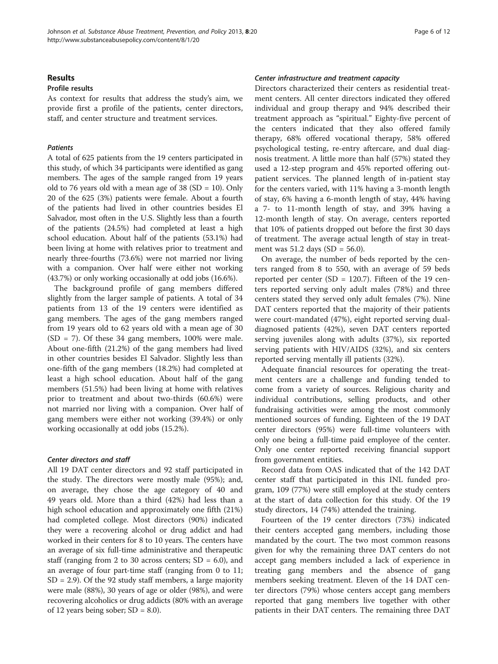### Results

# Profile results

As context for results that address the study's aim, we provide first a profile of the patients, center directors, staff, and center structure and treatment services.

#### Patients

A total of 625 patients from the 19 centers participated in this study, of which 34 participants were identified as gang members. The ages of the sample ranged from 19 years old to 76 years old with a mean age of 38 (SD = 10). Only 20 of the 625 (3%) patients were female. About a fourth of the patients had lived in other countries besides El Salvador, most often in the U.S. Slightly less than a fourth of the patients (24.5%) had completed at least a high school education. About half of the patients (53.1%) had been living at home with relatives prior to treatment and nearly three-fourths (73.6%) were not married nor living with a companion. Over half were either not working (43.7%) or only working occasionally at odd jobs (16.6%).

The background profile of gang members differed slightly from the larger sample of patients. A total of 34 patients from 13 of the 19 centers were identified as gang members. The ages of the gang members ranged from 19 years old to 62 years old with a mean age of 30  $(SD = 7)$ . Of these 34 gang members, 100% were male. About one-fifth (21.2%) of the gang members had lived in other countries besides El Salvador. Slightly less than one-fifth of the gang members (18.2%) had completed at least a high school education. About half of the gang members (51.5%) had been living at home with relatives prior to treatment and about two-thirds (60.6%) were not married nor living with a companion. Over half of gang members were either not working (39.4%) or only working occasionally at odd jobs (15.2%).

#### Center directors and staff

All 19 DAT center directors and 92 staff participated in the study. The directors were mostly male (95%); and, on average, they chose the age category of 40 and 49 years old. More than a third (42%) had less than a high school education and approximately one fifth (21%) had completed college. Most directors (90%) indicated they were a recovering alcohol or drug addict and had worked in their centers for 8 to 10 years. The centers have an average of six full-time administrative and therapeutic staff (ranging from 2 to 30 across centers;  $SD = 6.0$ ), and an average of four part-time staff (ranging from 0 to 11;  $SD = 2.9$ ). Of the 92 study staff members, a large majority were male (88%), 30 years of age or older (98%), and were recovering alcoholics or drug addicts (80% with an average of 12 years being sober;  $SD = 8.0$ ).

#### Center infrastructure and treatment capacity

Directors characterized their centers as residential treatment centers. All center directors indicated they offered individual and group therapy and 94% described their treatment approach as "spiritual." Eighty-five percent of the centers indicated that they also offered family therapy, 68% offered vocational therapy, 58% offered psychological testing, re-entry aftercare, and dual diagnosis treatment. A little more than half (57%) stated they used a 12-step program and 45% reported offering outpatient services. The planned length of in-patient stay for the centers varied, with 11% having a 3-month length of stay, 6% having a 6-month length of stay, 44% having a 7- to 11-month length of stay, and 39% having a 12-month length of stay. On average, centers reported that 10% of patients dropped out before the first 30 days of treatment. The average actual length of stay in treatment was 51.2 days (SD = 56.0).

On average, the number of beds reported by the centers ranged from 8 to 550, with an average of 59 beds reported per center (SD = 120.7). Fifteen of the 19 centers reported serving only adult males (78%) and three centers stated they served only adult females (7%). Nine DAT centers reported that the majority of their patients were court-mandated (47%), eight reported serving dualdiagnosed patients (42%), seven DAT centers reported serving juveniles along with adults (37%), six reported serving patients with HIV/AIDS (32%), and six centers reported serving mentally ill patients (32%).

Adequate financial resources for operating the treatment centers are a challenge and funding tended to come from a variety of sources. Religious charity and individual contributions, selling products, and other fundraising activities were among the most commonly mentioned sources of funding. Eighteen of the 19 DAT center directors (95%) were full-time volunteers with only one being a full-time paid employee of the center. Only one center reported receiving financial support from government entities.

Record data from OAS indicated that of the 142 DAT center staff that participated in this INL funded program, 109 (77%) were still employed at the study centers at the start of data collection for this study. Of the 19 study directors, 14 (74%) attended the training.

Fourteen of the 19 center directors (73%) indicated their centers accepted gang members, including those mandated by the court. The two most common reasons given for why the remaining three DAT centers do not accept gang members included a lack of experience in treating gang members and the absence of gang members seeking treatment. Eleven of the 14 DAT center directors (79%) whose centers accept gang members reported that gang members live together with other patients in their DAT centers. The remaining three DAT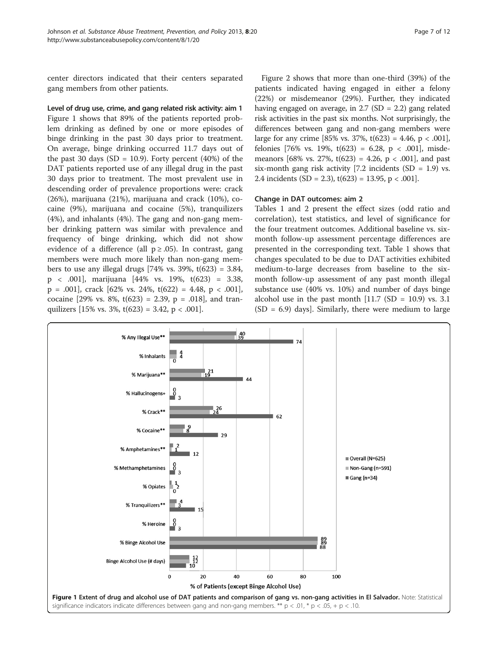center directors indicated that their centers separated gang members from other patients.

Level of drug use, crime, and gang related risk activity: aim 1 Figure 1 shows that 89% of the patients reported problem drinking as defined by one or more episodes of binge drinking in the past 30 days prior to treatment. On average, binge drinking occurred 11.7 days out of the past 30 days (SD = 10.9). Forty percent  $(40\%)$  of the DAT patients reported use of any illegal drug in the past 30 days prior to treatment. The most prevalent use in descending order of prevalence proportions were: crack (26%), marijuana (21%), marijuana and crack (10%), cocaine (9%), marijuana and cocaine (5%), tranquilizers (4%), and inhalants (4%). The gang and non-gang member drinking pattern was similar with prevalence and frequency of binge drinking, which did not show evidence of a difference (all  $p \ge 0.05$ ). In contrast, gang members were much more likely than non-gang members to use any illegal drugs [74% vs. 39%,  $t(623) = 3.84$ , p < .001], marijuana [44% vs. 19%, t(623) = 3.38,  $p = .001$ , crack [62% vs. 24%, t(622) = 4.48,  $p < .001$ ], cocaine [29% vs. 8%,  $t(623) = 2.39$ ,  $p = .018$ ], and tranquilizers  $[15\% \text{ vs. } 3\%, \, t(623) = 3.42, \, p < .001]$ .

Figure [2](#page-7-0) shows that more than one-third (39%) of the patients indicated having engaged in either a felony (22%) or misdemeanor (29%). Further, they indicated having engaged on average, in 2.7 (SD = 2.2) gang related risk activities in the past six months. Not surprisingly, the differences between gang and non-gang members were large for any crime [85% vs. 37%,  $t(623) = 4.46$ ,  $p < .001$ ], felonies [76% vs. 19%,  $t(623) = 6.28$ ,  $p < .001$ ], misdemeanors [68% vs. 27%,  $t(623) = 4.26$ ,  $p < .001$ ], and past six-month gang risk activity [7.2 incidents  $(SD = 1.9)$  vs. 2.4 incidents (SD = 2.3),  $t(623) = 13.95$ , p < .001].

## Change in DAT outcomes: aim 2

Tables [1](#page-7-0) and [2](#page-8-0) present the effect sizes (odd ratio and correlation), test statistics, and level of significance for the four treatment outcomes. Additional baseline vs. sixmonth follow-up assessment percentage differences are presented in the corresponding text. Table [1](#page-7-0) shows that changes speculated to be due to DAT activities exhibited medium-to-large decreases from baseline to the sixmonth follow-up assessment of any past month illegal substance use (40% vs. 10%) and number of days binge alcohol use in the past month  $[11.7 (SD = 10.9)$  vs. 3.1  $(SD = 6.9)$  days]. Similarly, there were medium to large

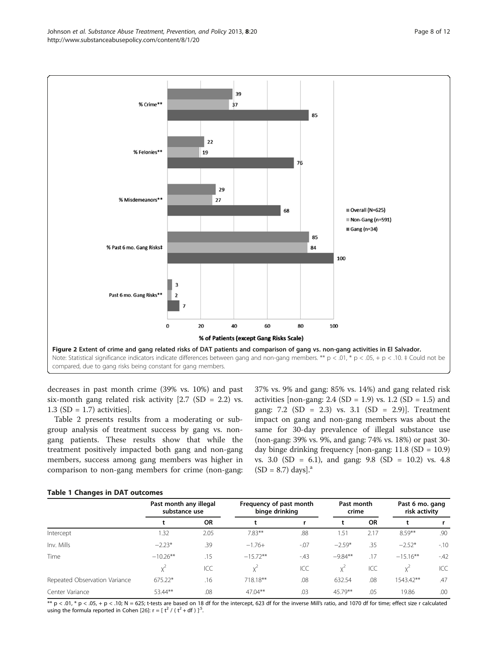decreases in past month crime (39% vs. 10%) and past six-month gang related risk activity [2.7 (SD = 2.2) vs. 1.3 (SD = 1.7) activities].

Table [2](#page-8-0) presents results from a moderating or subgroup analysis of treatment success by gang vs. nongang patients. These results show that while the treatment positively impacted both gang and non-gang members, success among gang members was higher in comparison to non-gang members for crime (non-gang:

> Past month any illegal substance use

37% vs. 9% and gang: 85% vs. 14%) and gang related risk activities [non-gang:  $2.4$  (SD = 1.9) vs. 1.2 (SD = 1.5) and gang: 7.2 (SD = 2.3) vs. 3.1 (SD = 2.9)]. Treatment impact on gang and non-gang members was about the same for 30-day prevalence of illegal substance use (non-gang: 39% vs. 9%, and gang: 74% vs. 18%) or past 30 day binge drinking frequency [non-gang: 11.8 (SD = 10.9) vs. 3.0 (SD = 6.1), and gang: 9.8 (SD = 10.2) vs. 4.8  $(SD = 8.7)$  days].<sup>a</sup>

> Past month crime

Past 6 mo. gang risk activity



|                               |             | <b>OR</b> |            |       |           | <b>OR</b> |             |       |  |
|-------------------------------|-------------|-----------|------------|-------|-----------|-----------|-------------|-------|--|
| Intercept                     | 1.32        | 2.05      | $7.83**$   | .88   | .51       | 2.17      | $8.59***$   | .90   |  |
| Inv. Mills                    | $-2.23*$    | .39       | $-1.76+$   | $-07$ | $-2.59*$  | .35       | $-2.52*$    | $-10$ |  |
| Time                          | $-10.26***$ | .15       | $-15.72**$ | $-43$ | $-9.84**$ | .17       | $-15.16***$ | $-42$ |  |
|                               |             | ICC       |            | ICC   |           | ICC       |             | ICC   |  |
| Repeated Observation Variance | 675.22*     | .16       | 718.18**   | .08   | 632.54    | .08       | 1543.42**   | .47   |  |
| Center Variance               | 53.44**     | .08       | $47.04**$  | .03   | $45.79**$ | .05       | 19.86       | .00   |  |
|                               |             |           |            |       |           |           |             |       |  |

Frequency of past month binge drinking

 $*$  p < .01,  $*$  p < .05, + p < .10; N = 625; t-tests are based on 18 df for the intercept, 623 df for the inverse Mill's ratio, and 1070 df for time; effect size r calculated using the formula reported in Cohen [[26\]](#page-11-0):  $r = [t^2 / (t^2 + df)]^5$ .

<span id="page-7-0"></span>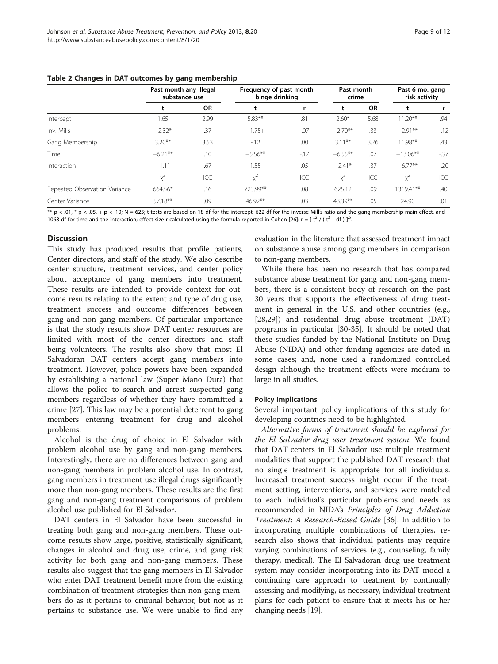<span id="page-8-0"></span>

| Table 2 Changes in DAT outcomes by gang membership |  |  |
|----------------------------------------------------|--|--|
|----------------------------------------------------|--|--|

|                               | Past month any illegal<br>substance use |           | Frequency of past month<br>binge drinking |         | Past month<br>crime |           | Past 6 mo. gang<br>risk activity |       |
|-------------------------------|-----------------------------------------|-----------|-------------------------------------------|---------|---------------------|-----------|----------------------------------|-------|
|                               |                                         | <b>OR</b> |                                           |         |                     | <b>OR</b> |                                  |       |
| Intercept                     | 1.65                                    | 2.99      | $5.83***$                                 | .81     | $2.60*$             | 5.68      | $11.20***$                       | .94   |
| Inv. Mills                    | $-2.32*$                                | .37       | $-1.75+$                                  | $-0.07$ | $-2.70**$           | .33       | $-2.91**$                        | $-12$ |
| Gang Membership               | $3.20***$                               | 3.53      | $-12$                                     | .00     | $3.11***$           | 3.76      | $11.98**$                        | .43   |
| Time                          | $-6.21**$                               | .10       | $-5.56**$                                 | $-17$   | $-6.55***$          | .07       | $-13.06**$                       | $-37$ |
| Interaction                   | $-1.11$                                 | .67       | 1.55                                      | .05     | $-2.41*$            | .37       | $-6.77**$                        | $-20$ |
|                               | $x^2$                                   | ICC       | $x^2$                                     | ICC     | $x^2$               | ICC       | $x^2$                            | ICC   |
| Repeated Observation Variance | 664.56*                                 | .16       | 723.99**                                  | .08     | 625.12              | .09       | 1319.41**                        | .40   |
| Center Variance               | 57.18**                                 | .09       | $46.92**$                                 | .03     | $43.39**$           | .05       | 24.90                            | .01   |

 $*$  p < .01,  $*$  p < .05, + p < .10; N = 625; t-tests are based on 18 df for the intercept, 622 df for the inverse Mill's ratio and the gang membership main effect, and 1068 df for time and the interaction; effect size r calculated using the formula reported in Cohen [\[26\]](#page-11-0):  $r = [t^2/(t^2 + df)]^5$ .

## **Discussion**

This study has produced results that profile patients, Center directors, and staff of the study. We also describe center structure, treatment services, and center policy about acceptance of gang members into treatment. These results are intended to provide context for outcome results relating to the extent and type of drug use, treatment success and outcome differences between gang and non-gang members. Of particular importance is that the study results show DAT center resources are limited with most of the center directors and staff being volunteers. The results also show that most El Salvadoran DAT centers accept gang members into treatment. However, police powers have been expanded by establishing a national law (Super Mano Dura) that allows the police to search and arrest suspected gang members regardless of whether they have committed a crime [[27\]](#page-11-0). This law may be a potential deterrent to gang members entering treatment for drug and alcohol problems.

Alcohol is the drug of choice in El Salvador with problem alcohol use by gang and non-gang members. Interestingly, there are no differences between gang and non-gang members in problem alcohol use. In contrast, gang members in treatment use illegal drugs significantly more than non-gang members. These results are the first gang and non-gang treatment comparisons of problem alcohol use published for El Salvador.

DAT centers in El Salvador have been successful in treating both gang and non-gang members. These outcome results show large, positive, statistically significant, changes in alcohol and drug use, crime, and gang risk activity for both gang and non-gang members. These results also suggest that the gang members in El Salvador who enter DAT treatment benefit more from the existing combination of treatment strategies than non-gang members do as it pertains to criminal behavior, but not as it pertains to substance use. We were unable to find any evaluation in the literature that assessed treatment impact on substance abuse among gang members in comparison to non-gang members.

While there has been no research that has compared substance abuse treatment for gang and non-gang members, there is a consistent body of research on the past 30 years that supports the effectiveness of drug treatment in general in the U.S. and other countries (e.g., [[28,29\]](#page-11-0)) and residential drug abuse treatment (DAT) programs in particular [\[30](#page-11-0)-[35\]](#page-11-0). It should be noted that these studies funded by the National Institute on Drug Abuse (NIDA) and other funding agencies are dated in some cases; and, none used a randomized controlled design although the treatment effects were medium to large in all studies.

#### Policy implications

Several important policy implications of this study for developing countries need to be highlighted.

Alternative forms of treatment should be explored for the El Salvador drug user treatment system. We found that DAT centers in El Salvador use multiple treatment modalities that support the published DAT research that no single treatment is appropriate for all individuals. Increased treatment success might occur if the treatment setting, interventions, and services were matched to each individual's particular problems and needs as recommended in NIDA's Principles of Drug Addiction Treatment: A Research-Based Guide [\[36\]](#page-11-0). In addition to incorporating multiple combinations of therapies, research also shows that individual patients may require varying combinations of services (e.g., counseling, family therapy, medical). The El Salvadoran drug use treatment system may consider incorporating into its DAT model a continuing care approach to treatment by continually assessing and modifying, as necessary, individual treatment plans for each patient to ensure that it meets his or her changing needs [\[19\]](#page-10-0).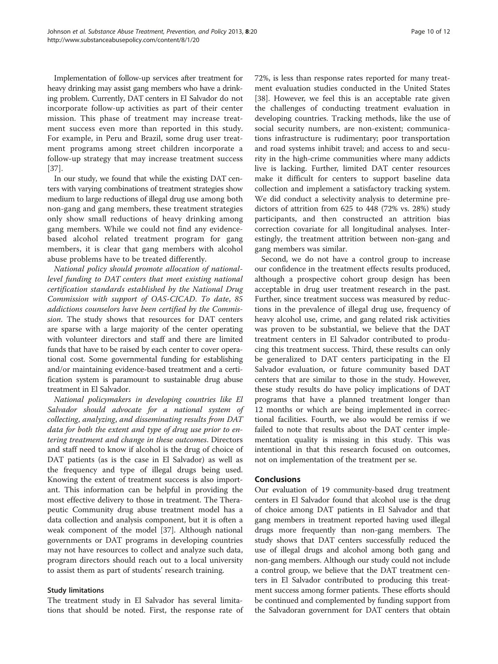Implementation of follow-up services after treatment for heavy drinking may assist gang members who have a drinking problem. Currently, DAT centers in El Salvador do not incorporate follow-up activities as part of their center mission. This phase of treatment may increase treatment success even more than reported in this study. For example, in Peru and Brazil, some drug user treatment programs among street children incorporate a

follow-up strategy that may increase treatment success

[[37\]](#page-11-0). In our study, we found that while the existing DAT centers with varying combinations of treatment strategies show medium to large reductions of illegal drug use among both non-gang and gang members, these treatment strategies only show small reductions of heavy drinking among gang members. While we could not find any evidencebased alcohol related treatment program for gang members, it is clear that gang members with alcohol abuse problems have to be treated differently.

National policy should promote allocation of nationallevel funding to DAT centers that meet existing national certification standards established by the National Drug Commission with support of OAS-CICAD. To date, 85 addictions counselors have been certified by the Commission. The study shows that resources for DAT centers are sparse with a large majority of the center operating with volunteer directors and staff and there are limited funds that have to be raised by each center to cover operational cost. Some governmental funding for establishing and/or maintaining evidence-based treatment and a certification system is paramount to sustainable drug abuse treatment in El Salvador.

National policymakers in developing countries like El Salvador should advocate for a national system of collecting, analyzing, and disseminating results from DAT data for both the extent and type of drug use prior to entering treatment and change in these outcomes. Directors and staff need to know if alcohol is the drug of choice of DAT patients (as is the case in El Salvador) as well as the frequency and type of illegal drugs being used. Knowing the extent of treatment success is also important. This information can be helpful in providing the most effective delivery to those in treatment. The Therapeutic Community drug abuse treatment model has a data collection and analysis component, but it is often a weak component of the model [\[37\]](#page-11-0). Although national governments or DAT programs in developing countries may not have resources to collect and analyze such data, program directors should reach out to a local university to assist them as part of students' research training.

#### Study limitations

The treatment study in El Salvador has several limitations that should be noted. First, the response rate of 72%, is less than response rates reported for many treatment evaluation studies conducted in the United States [[38\]](#page-11-0). However, we feel this is an acceptable rate given the challenges of conducting treatment evaluation in developing countries. Tracking methods, like the use of social security numbers, are non-existent; communications infrastructure is rudimentary; poor transportation and road systems inhibit travel; and access to and security in the high-crime communities where many addicts live is lacking. Further, limited DAT center resources make it difficult for centers to support baseline data collection and implement a satisfactory tracking system. We did conduct a selectivity analysis to determine predictors of attrition from 625 to 448 (72% vs. 28%) study participants, and then constructed an attrition bias correction covariate for all longitudinal analyses. Interestingly, the treatment attrition between non-gang and gang members was similar.

Second, we do not have a control group to increase our confidence in the treatment effects results produced, although a prospective cohort group design has been acceptable in drug user treatment research in the past. Further, since treatment success was measured by reductions in the prevalence of illegal drug use, frequency of heavy alcohol use, crime, and gang related risk activities was proven to be substantial, we believe that the DAT treatment centers in El Salvador contributed to producing this treatment success. Third, these results can only be generalized to DAT centers participating in the El Salvador evaluation, or future community based DAT centers that are similar to those in the study. However, these study results do have policy implications of DAT programs that have a planned treatment longer than 12 months or which are being implemented in correctional facilities. Fourth, we also would be remiss if we failed to note that results about the DAT center implementation quality is missing in this study. This was intentional in that this research focused on outcomes, not on implementation of the treatment per se.

#### Conclusions

Our evaluation of 19 community-based drug treatment centers in El Salvador found that alcohol use is the drug of choice among DAT patients in El Salvador and that gang members in treatment reported having used illegal drugs more frequently than non-gang members. The study shows that DAT centers successfully reduced the use of illegal drugs and alcohol among both gang and non-gang members. Although our study could not include a control group, we believe that the DAT treatment centers in El Salvador contributed to producing this treatment success among former patients. These efforts should be continued and complemented by funding support from the Salvadoran government for DAT centers that obtain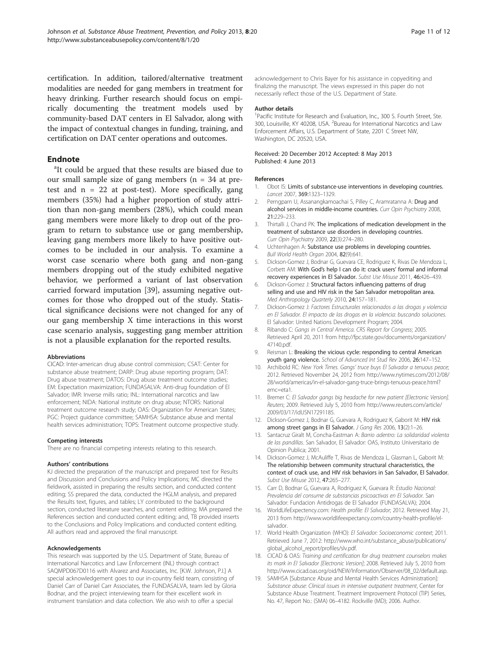<span id="page-10-0"></span>certification. In addition, tailored/alternative treatment modalities are needed for gang members in treatment for heavy drinking. Further research should focus on empirically documenting the treatment models used by community-based DAT centers in El Salvador, along with the impact of contextual changes in funding, training, and certification on DAT center operations and outcomes.

## **Endnote**

<sup>a</sup>It could be argued that these results are biased due to our small sample size of gang members (n = 34 at pretest and  $n = 22$  at post-test). More specifically, gang members (35%) had a higher proportion of study attrition than non-gang members (28%), which could mean gang members were more likely to drop out of the program to return to substance use or gang membership, leaving gang members more likely to have positive outcomes to be included in our analysis. To examine a worst case scenario where both gang and non-gang members dropping out of the study exhibited negative behavior, we performed a variant of last observation carried forward imputation [[39\]](#page-11-0), assuming negative outcomes for those who dropped out of the study. Statistical significance decisions were not changed for any of our gang membership X time interactions in this worst case scenario analysis, suggesting gang member attrition is not a plausible explanation for the reported results.

#### Abbreviations

CICAD: Inter-american drug abuse control commission; CSAT: Center for substance abuse treatment; DARP: Drug abuse reporting program; DAT: Drug abuse treatment; DATOS: Drug abuse treatment outcome studies; EM: Expectation maximization; FUNDASALVA: Anti-drug foundation of El Salvador; IMR: Inverse mills ratio; INL: International narcotics and law enforcement; NIDA: National institute on drug abuse; NTORS: National treatment outcome research study; OAS: Organization for American States; PGC: Project guidance committee; SAMHSA: Substance abuse and mental health services administration; TOPS: Treatment outcome prospective study.

#### Competing interests

There are no financial competing interests relating to this research.

#### Authors' contributions

KJ directed the preparation of the manuscript and prepared text for Results and Discussion and Conclusions and Policy Implications; MC directed the fieldwork, assisted in preparing the results section, and conducted content editing; SS prepared the data, conducted the HGLM analysis, and prepared the Results text, figures, and tables; LY contributed to the background section, conducted literature searches, and content editing; MA prepared the References section and conducted content editing; and, TB provided inserts to the Conclusions and Policy Implications and conducted content editing. All authors read and approved the final manuscript.

#### Acknowledgements

This research was supported by the U.S. Department of State, Bureau of International Narcotics and Law Enforcement (INL) through contract SAQMPD067D0116 with Alvarez and Associates, Inc. [K.W. Johnson, P.I.] A special acknowledgement goes to our in-country field team, consisting of Daniel Carr of Daniel Carr Associates, the FUNDASALVA, team led by Gloria Bodnar, and the project interviewing team for their excellent work in instrument translation and data collection. We also wish to offer a special

acknowledgement to Chris Bayer for his assistance in copyediting and finalizing the manuscript. The views expressed in this paper do not necessarily reflect those of the U.S. Department of State.

#### Author details

<sup>1</sup> Pacific Institute for Research and Evaluation, Inc., 300 S. Fourth Street, Ste. 300, Louisville, KY 40208, USA. <sup>2</sup>Bureau for International Narcotics and Law Enforcement Affairs, U.S. Department of State, 2201 C Street NW, Washington, DC 20520, USA.

#### Received: 20 December 2012 Accepted: 8 May 2013 Published: 4 June 2013

#### References

- 1. Obot IS: Limits of substance-use interventions in developing countries. Lancet 2007, 369:1323–1329.
- 2. Perngparn U, Assanangkamoachai S, Pilley C, Aramratanna A: Drug and alcohol services in middle-income countries. Curr Opin Psychiatry 2008, 21:229–233.
- 3. Thirtalli J, Chand PK: The implications of medication development in the treatment of substance use disorders in developing countries. Curr Opin Psychiatry 2009, 22(3):274–280.
- 4. Uchtenhagen A: Substance use problems in developing countries. Bull World Health Organ 2004, 82(9):641.
- 5. Dickson-Gomez J, Bodnar G, Guevara CE, Rodriguez K, Rivas De Mendoza L, Corbett AM: With God's help I can do it: crack users' formal and informal recovery experiences in El Salvador. Subst Use Misuse 2011, 46:426–439.
- 6. Dickson-Gomez J: Structural factors influencing patterns of drug selling and use and HIV risk in the San Salvador metropolitan area. Med Anthropology Quarterly 2010, 24:157–181.
- 7. Dickson-Gomez J: Factores Estructurales relacionados a las drogas y violencia en El Salvador. El impacto de las drogas en la violencia: buscando soluciones. El Salvador: United Nations Development Program; 2004.
- Ribando C: Gangs in Central America. CRS Report for Congress; 2005. Retrieved April 20, 2011 from [http://fpc.state.gov/documents/organization/](http://fpc.state.gov/documents/organization/47140.pdf) [47140.pdf.](http://fpc.state.gov/documents/organization/47140.pdf)
- 9. Reisman L: Breaking the vicious cycle: responding to central American youth gang violence. School of Advanced Int Stud Rev 2006, 26:147–152.
- 10. Archibold RC: New York Times. Gangs' truce buys El Salvador a tenuous peace; 2012. Retrieved November 24, 2012 from [http://www.nytimes.com/2012/08/](http://www.nytimes.com/2012/08/28/world/americas/in-el-salvador-gang-truce-brings-tenuous-peace.html?emc=eta1) [28/world/americas/in-el-salvador-gang-truce-brings-tenuous-peace.html?](http://www.nytimes.com/2012/08/28/world/americas/in-el-salvador-gang-truce-brings-tenuous-peace.html?emc=eta1) [emc=eta1](http://www.nytimes.com/2012/08/28/world/americas/in-el-salvador-gang-truce-brings-tenuous-peace.html?emc=eta1).
- 11. Bremer C: El Salvador gangs big headache for new patient [Electronic Version]. Reuters; 2009. Retrieved July 5, 2010 from [http://www.reuters.com/article/](http://www.reuters.com/article/2009/03/17/idUSN17291185) [2009/03/17/idUSN17291185](http://www.reuters.com/article/2009/03/17/idUSN17291185).
- 12. Dickson-Gomez J, Bodnar G, Guevara A, Rodriguez K, Gaborit M: HIV risk among street gangs in El Salvador. J Gang Res 2006, 13(2):1–26.
- 13. Santacruz Giralt M, Concha-Eastman A: Barrio adentro: La solidaridad violenta de las pandillas. San Salvador, El Salvador: OAS, Instituto Universitario de Opinion Publica; 2001.
- 14. Dickson-Gomez J, McAuliffe T, Rivas de Mendoza L, Glasman L, Gaborit M: The relationship between community structural characteristics, the context of crack use, and HIV risk behaviors in San Salvador, El Salvador. Subst Use Misuse 2012, 47:265–277.
- 15. Carr D, Bodnar G, Guevara A, Rodriguez K, Guevara R: Estudio Nacional: Prevalencia del consume de substancias psicoactivas en El Salvador. San Salvador: Fundacion Antidrogas de El Salvador (FUNDASALVA); 2004.
- 16. WorldLifeExpectency.com: Health profile: El Salvador; 2012. Retrieved May 21, 2013 from [http://www.worldlifeexpectancy.com/country-health-profile/el](http://www.worldlifeexpectancy.com/country-health-profile/el-salvador)[salvador](http://www.worldlifeexpectancy.com/country-health-profile/el-salvador).
- 17. World Health Organization (WHO): El Salvador: Socioeconomic context; 2011. Retrieved June 7, 2012: [http://www.who.int/substance\\_abuse/publications/](http://www.who.int/substance_abuse/publications/global_alcohol_report/profiles/slv.pdf) [global\\_alcohol\\_report/profiles/slv.pdf.](http://www.who.int/substance_abuse/publications/global_alcohol_report/profiles/slv.pdf)
- 18. CICAD & OAS: Training and certification for drug treatment counselors makes its mark in El Salvador [Electronic Version]; 2008. Retrieved July 5, 2010 from [http://www.cicad.oas.org/oid/NEW/Information/Observer/08\\_02/default.asp](http://www.cicad.oas.org/oid/NEW/Information/Observer/08_02/default.asp).
- 19. SAMHSA [Substance Abuse and Mental Health Services Administration]: Substance abuse: Clinical issues in intensive outpatient treatment, Center for Substance Abuse Treatment. Treatment Improvement Protocol (TIP) Series, No. 47, Report No.: (SMA) 06–4182. Rockville (MD); 2006. Author.